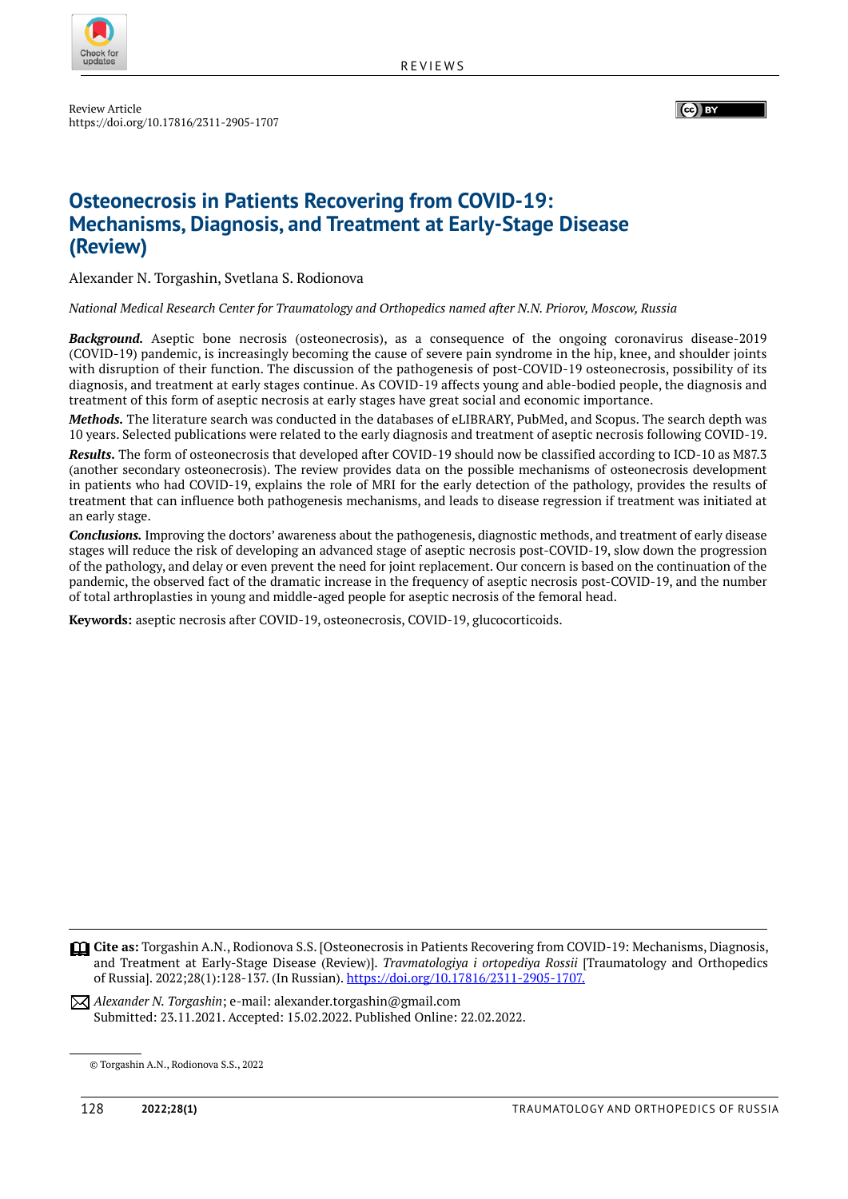

Review Article https://doi.org/10.17816/2311-2905-1707 (ce) BY

# **Osteonecrosis in Patients Recovering from COVID-19: Mechanisms, Diagnosis, and Treatment at Early-Stage Disease (Review)**

Alexander N. Torgashin, Svetlana S. Rodionova

*National Medical Research Center for Traumatology and Orthopedics named after N.N. Priorov, Moscow, Russia*

*Background.* Aseptic bone necrosis (osteonecrosis), as a consequence of the ongoing coronavirus disease-2019 (COVID-19) pandemic, is increasingly becoming the cause of severe pain syndrome in the hip, knee, and shoulder joints with disruption of their function. The discussion of the pathogenesis of post-COVID-19 osteonecrosis, possibility of its diagnosis, and treatment at early stages continue. As COVID-19 affects young and able-bodied people, the diagnosis and treatment of this form of aseptic necrosis at early stages have great social and economic importance.

*Methods.* The literature search was conducted in the databases of eLIBRARY, PubMed, and Scopus. The search depth was 10 years. Selected publications were related to the early diagnosis and treatment of aseptic necrosis following COVID-19.

*Results.* The form of osteonecrosis that developed after COVID-19 should now be classified according to ICD-10 as M87.3 (another secondary osteonecrosis). The review provides data on the possible mechanisms of osteonecrosis development in patients who had COVID-19, explains the role of MRI for the early detection of the pathology, provides the results of treatment that can influence both pathogenesis mechanisms, and leads to disease regression if treatment was initiated at an early stage.

*Conclusions.* Improving the doctors' awareness about the pathogenesis, diagnostic methods, and treatment of early disease stages will reduce the risk of developing an advanced stage of aseptic necrosis post-COVID-19, slow down the progression of the pathology, and delay or even prevent the need for joint replacement. Our concern is based on the continuation of the pandemic, the observed fact of the dramatic increase in the frequency of aseptic necrosis post-COVID-19, and the number of total arthroplasties in young and middle-aged people for aseptic necrosis of the femoral head.

**Keywords:** aseptic necrosis after COVID-19, osteonecrosis, COVID-19, glucocorticoids.

**Cite as:** Torgashin A.N., Rodionova S.S. [Osteonecrosis in Patients Recovering from COVID-19: Mechanisms, Diagnosis, and Treatment at Early-Stage Disease (Review)]. *Travmatologiya i ortopediya Rossii* [Traumatology and Orthopedics of Russia]. 2022;28(1):128-137. (In Russian). https://doi.org/10.17816/2311-2905-1707.

*Alexander N. Torgashin*; e-mail: alexander.torgashin@gmail.com Submitted: 23.11.2021. Accepted: 15.02.2022. Published Online: 22.02.2022.

<sup>©</sup> Torgashin A.N., Rodionova S.S., 2022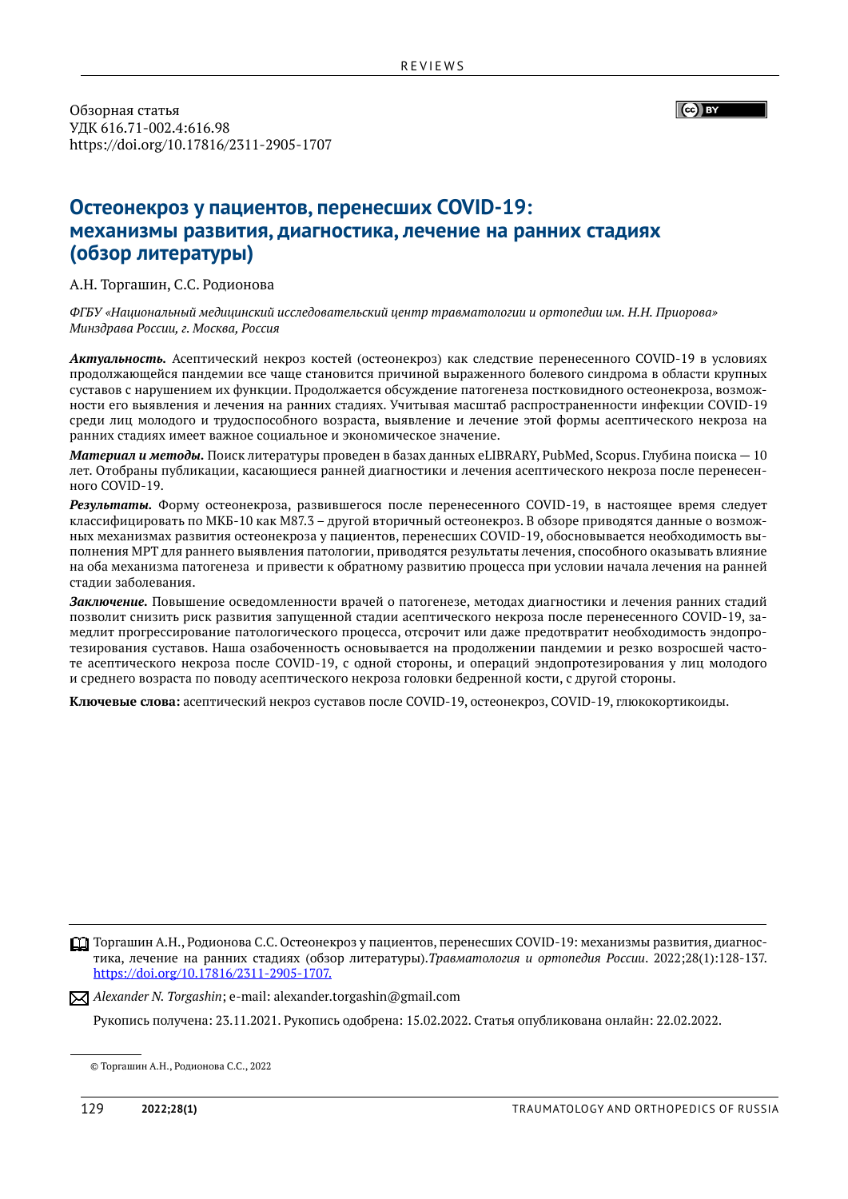Обзорная статья УДК 616.71-002.4:616.98 https://doi.org/10.17816/2311-2905-1707  $\left(\begin{matrix} \begin{matrix} 1 \\ \begin{matrix} 1 \\ \end{matrix} \end{matrix} \right)$  BY

# **Остеонекроз у пациентов, перенесших COVID-19: механизмы развития, диагностика, лечение на ранних стадиях (обзор литературы)**

А.Н. Торгашин, С.С. Родионова

*ФГБУ «Национальный медицинский исследовательский центр травматологии и ортопедии им. Н.Н. Приорова» Минздрава России, г. Москва, Россия*

*Актуальность.* Асептический некроз костей (остеонекроз) как следствие перенесенного COVID-19 в условиях продолжающейся пандемии все чаще становится причиной выраженного болевого синдрома в области крупных суставов с нарушением их функции. Продолжается обсуждение патогенеза постковидного остеонекроза, возможности его выявления и лечения на ранних стадиях. Учитывая масштаб распространенности инфекции COVID-19 среди лиц молодого и трудоспособного возраста, выявление и лечение этой формы асептического некроза на ранних стадиях имеет важное социальное и экономическое значение.

*Материал и методы.* Поиск литературы проведен в базах данных eLIBRARY, PubMed, Scopus. Глубина поиска — 10 лет. Отобраны публикации, касающиеся ранней диагностики и лечения асептического некроза после перенесенного COVID-19.

*Результаты.* Форму остеонекроза, развившегося после перенесенного COVID-19, в настоящее время следует классифицировать по МКБ-10 как M87.3 – другой вторичный остеонекроз. В обзоре приводятся данные о возможных механизмах развития остеонекроза у пациентов, перенесших СОVID-19, обосновывается необходимость выполнения МРТ для раннего выявления патологии, приводятся результаты лечения, способного оказывать влияние на оба механизма патогенеза и привести к обратному развитию процесса при условии начала лечения на ранней стадии заболевания.

*Заключение.* Повышение осведомленности врачей о патогенезе, методах диагностики и лечения ранних стадий позволит снизить риск развития запущенной стадии асептического некроза после перенесенного COVID-19, замедлит прогрессирование патологического процесса, отсрочит или даже предотвратит необходимость эндопротезирования суставов. Наша озабоченность основывается на продолжении пандемии и резко возросшей частоте асептического некроза после COVID-19, с одной стороны, и операций эндопротезирования у лиц молодого и среднего возраста по поводу асептического некроза головки бедренной кости, с другой стороны.

**Ключевые слова:** асептический некроз суставов после COVID-19, остеонекроз, СОVID-19, глюкокортикоиды.

Торгашин А.Н., Родионова С.С. Остеонекроз у пациентов, перенесших COVID-19: механизмы развития, диагнос тика, лечение на ранних стадиях (обзор литературы).*Травматология и ортопедия России*. 2022;28(1):128-137. https://doi.org/10.17816/2311-2905-1707.

*Alexander N. Torgashin*; e-mail: alexander.torgashin@gmail.com

Рукопись получена: 23.11.2021. Рукопись одобрена: 15.02.2022. Cтатья опубликована онлайн: 22.02.2022.

<sup>©</sup> Торгашин А.Н., Родионова С.С., 2022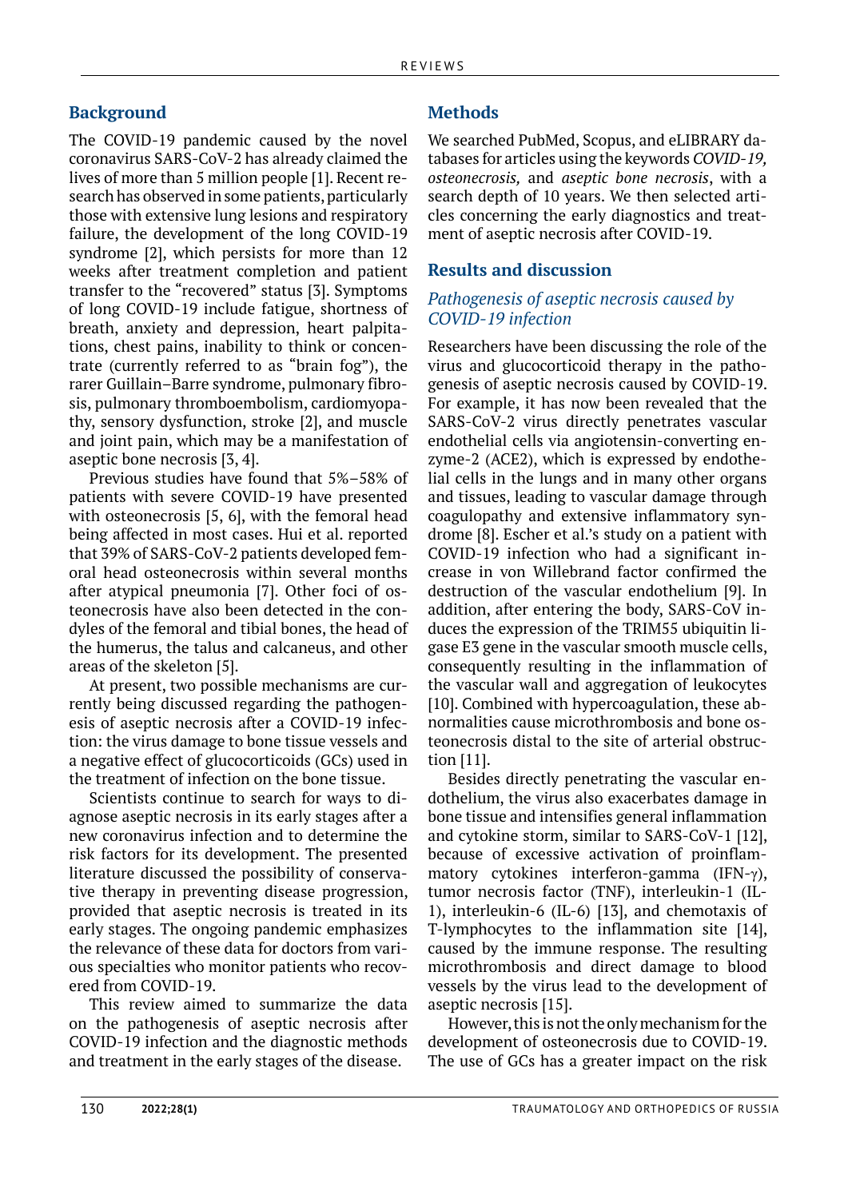## **Background**

The COVID-19 pandemic caused by the novel coronavirus SARS-CoV-2 has already claimed the lives of more than 5 million people [1]. Recent research has observed in some patients, particularly those with extensive lung lesions and respiratory failure, the development of the long COVID-19 syndrome [2], which persists for more than 12 weeks after treatment completion and patient transfer to the "recovered" status [3]. Symptoms of long COVID-19 include fatigue, shortness of breath, anxiety and depression, heart palpitations, chest pains, inability to think or concentrate (currently referred to as "brain fog"), the rarer Guillain–Barre syndrome, pulmonary fibrosis, pulmonary thromboembolism, cardiomyopathy, sensory dysfunction, stroke [2], and muscle and joint pain, which may be a manifestation of aseptic bone necrosis [3, 4].

Previous studies have found that 5%–58% of patients with severe COVID-19 have presented with osteonecrosis [5, 6], with the femoral head being affected in most cases. Hui et al. reported that 39% of SARS-CoV-2 patients developed femoral head osteonecrosis within several months after atypical pneumonia [7]. Other foci of osteonecrosis have also been detected in the condyles of the femoral and tibial bones, the head of the humerus, the talus and calcaneus, and other areas of the skeleton [5].

At present, two possible mechanisms are currently being discussed regarding the pathogenesis of aseptic necrosis after a COVID-19 infection: the virus damage to bone tissue vessels and a negative effect of glucocorticoids (GCs) used in the treatment of infection on the bone tissue.

Scientists continue to search for ways to diagnose aseptic necrosis in its early stages after a new coronavirus infection and to determine the risk factors for its development. The presented literature discussed the possibility of conservative therapy in preventing disease progression, provided that aseptic necrosis is treated in its early stages. The ongoing pandemic emphasizes the relevance of these data for doctors from various specialties who monitor patients who recovered from COVID-19.

This review aimed to summarize the data on the pathogenesis of aseptic necrosis after COVID-19 infection and the diagnostic methods and treatment in the early stages of the disease.

### **Methods**

We searched PubMed, Scopus, and eLIBRARY databases for articles using the keywords *COVID-19, osteonecrosis,* and *aseptic bone necrosis*, with a search depth of 10 years. We then selected articles concerning the early diagnostics and treatment of aseptic necrosis after COVID-19.

### **Results and discussion**

## *Pathogenesis of aseptic necrosis caused by COVID-19 infection*

Researchers have been discussing the role of the virus and glucocorticoid therapy in the pathogenesis of aseptic necrosis caused by COVID-19. For example, it has now been revealed that the SARS-CoV-2 virus directly penetrates vascular endothelial cells via angiotensin-converting enzyme-2 (ACE2), which is expressed by endothelial cells in the lungs and in many other organs and tissues, leading to vascular damage through coagulopathy and extensive inflammatory syndrome [8]. Escher et al.'s study on a patient with COVID-19 infection who had a significant increase in von Willebrand factor confirmed the destruction of the vascular endothelium [9]. In addition, after entering the body, SARS-CoV induces the expression of the TRIM55 ubiquitin ligase E3 gene in the vascular smooth muscle cells, consequently resulting in the inflammation of the vascular wall and aggregation of leukocytes [10]. Combined with hypercoagulation, these abnormalities cause microthrombosis and bone osteonecrosis distal to the site of arterial obstruction [11].

Besides directly penetrating the vascular endothelium, the virus also exacerbates damage in bone tissue and intensifies general inflammation and cytokine storm, similar to SARS-CoV-1 [12], because of excessive activation of proinflammatory cytokines interferon-gamma (IFN-γ), tumor necrosis factor (TNF), interleukin-1 (IL-1), interleukin-6 (IL-6) [13], and chemotaxis of T-lymphocytes to the inflammation site [14], caused by the immune response. The resulting microthrombosis and direct damage to blood vessels by the virus lead to the development of aseptic necrosis [15].

However, this is not the only mechanism for the development of osteonecrosis due to COVID-19. The use of GCs has a greater impact on the risk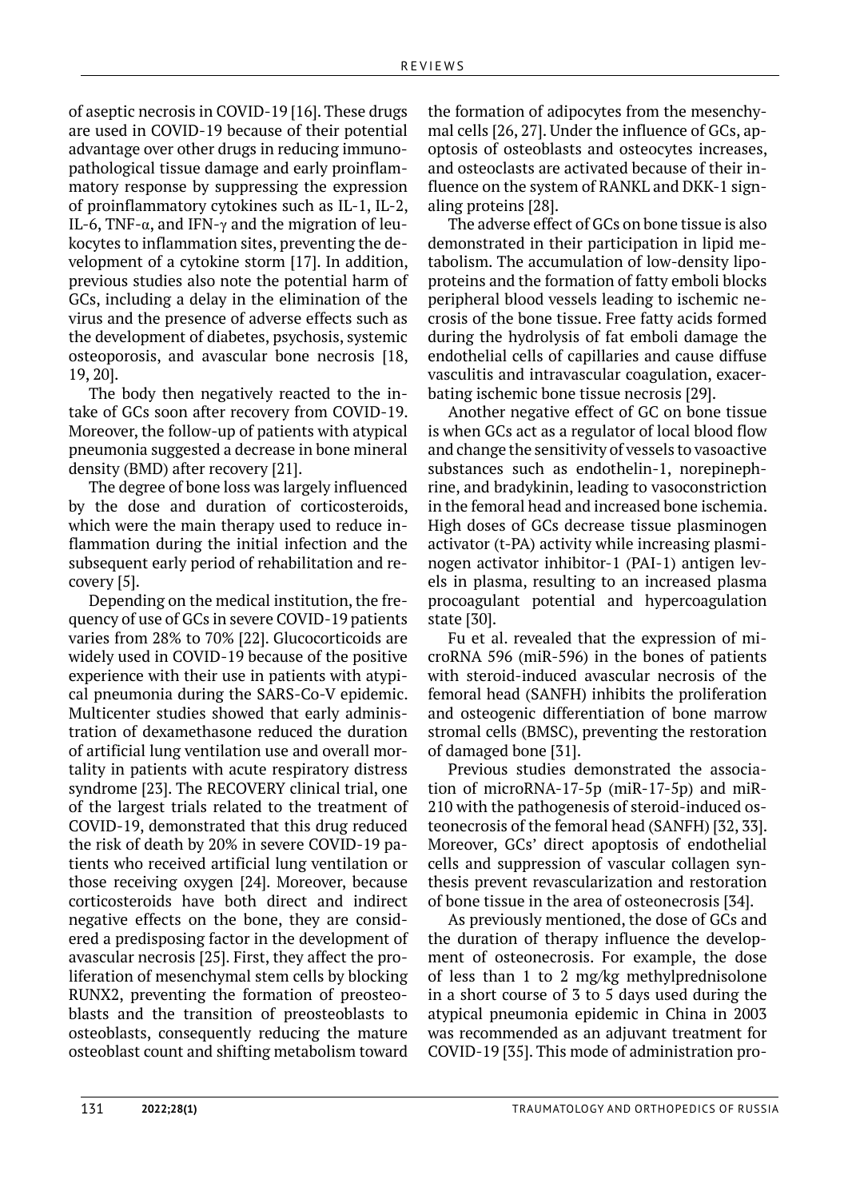of aseptic necrosis in COVID-19 [16]. These drugs are used in COVID-19 because of their potential advantage over other drugs in reducing immunopathological tissue damage and early proinflammatory response by suppressing the expression of proinflammatory cytokines such as IL-1, IL-2, IL-6, TNF-α, and IFN-γ and the migration of leukocytes to inflammation sites, preventing the development of a cytokine storm [17]. In addition, previous studies also note the potential harm of GCs, including a delay in the elimination of the virus and the presence of adverse effects such as the development of diabetes, psychosis, systemic osteoporosis, and avascular bone necrosis [18, 19, 20].

The body then negatively reacted to the intake of GCs soon after recovery from COVID-19. Moreover, the follow-up of patients with atypical pneumonia suggested a decrease in bone mineral density (BMD) after recovery [21].

The degree of bone loss was largely influenced by the dose and duration of corticosteroids, which were the main therapy used to reduce inflammation during the initial infection and the subsequent early period of rehabilitation and recovery [5].

Depending on the medical institution, the frequency of use of GCs in severe COVID-19 patients varies from 28% to 70% [22]. Glucocorticoids are widely used in COVID-19 because of the positive experience with their use in patients with atypical pneumonia during the SARS-Co-V epidemic. Multicenter studies showed that early administration of dexamethasone reduced the duration of artificial lung ventilation use and overall mortality in patients with acute respiratory distress syndrome [23]. The RECOVERY clinical trial, one of the largest trials related to the treatment of COVID-19, demonstrated that this drug reduced the risk of death by 20% in severe COVID-19 patients who received artificial lung ventilation or those receiving oxygen [24]. Moreover, because corticosteroids have both direct and indirect negative effects on the bone, they are considered a predisposing factor in the development of avascular necrosis [25]. First, they affect the proliferation of mesenchymal stem cells by blocking RUNX2, preventing the formation of preosteoblasts and the transition of preosteoblasts to osteoblasts, consequently reducing the mature osteoblast count and shifting metabolism toward

the formation of adipocytes from the mesenchymal cells [26, 27]. Under the influence of GCs, apoptosis of osteoblasts and osteocytes increases, and osteoclasts are activated because of their influence on the system of RANKL and DKK-1 signaling proteins [28].

The adverse effect of GCs on bone tissue is also demonstrated in their participation in lipid metabolism. The accumulation of low-density lipoproteins and the formation of fatty emboli blocks peripheral blood vessels leading to ischemic necrosis of the bone tissue. Free fatty acids formed during the hydrolysis of fat emboli damage the endothelial cells of capillaries and cause diffuse vasculitis and intravascular coagulation, exacerbating ischemic bone tissue necrosis [29].

Another negative effect of GC on bone tissue is when GCs act as a regulator of local blood flow and change the sensitivity of vessels to vasoactive substances such as endothelin-1, norepinephrine, and bradykinin, leading to vasoconstriction in the femoral head and increased bone ischemia. High doses of GCs decrease tissue plasminogen activator (t-PA) activity while increasing plasminogen activator inhibitor-1 (PAI-1) antigen levels in plasma, resulting to an increased plasma procoagulant potential and hypercoagulation state [30].

Fu et al. revealed that the expression of microRNA 596 (miR-596) in the bones of patients with steroid-induced avascular necrosis of the femoral head (SANFH) inhibits the proliferation and osteogenic differentiation of bone marrow stromal cells (BMSC), preventing the restoration of damaged bone [31].

Previous studies demonstrated the association of microRNA-17-5p (miR-17-5p) and miR-210 with the pathogenesis of steroid-induced osteonecrosis of the femoral head (SANFH) [32, 33]. Moreover, GCs' direct apoptosis of endothelial cells and suppression of vascular collagen synthesis prevent revascularization and restoration of bone tissue in the area of osteonecrosis [34].

As previously mentioned, the dose of GCs and the duration of therapy influence the development of osteonecrosis. For example, the dose of less than 1 to 2 mg/kg methylprednisolone in a short course of 3 to 5 days used during the atypical pneumonia epidemic in China in 2003 was recommended as an adjuvant treatment for COVID-19 [35]. This mode of administration pro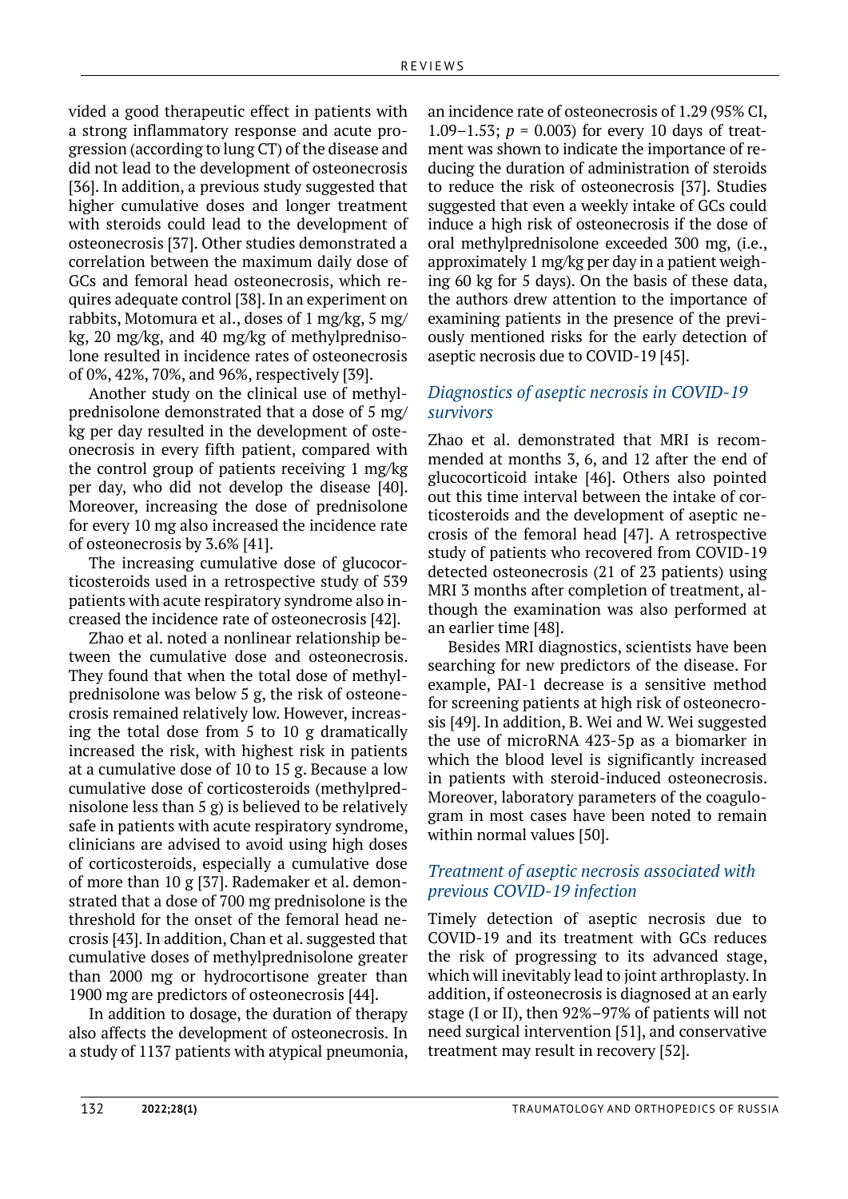vided a good therapeutic effect in patients with a strong inflammatory response and acute progression (according to lung CT) of the disease and did not lead to the development of osteonecrosis [36]. In addition, a previous study suggested that higher cumulative doses and longer treatment with steroids could lead to the development of osteonecrosis [37]. Other studies demonstrated a correlation between the maximum daily dose of GCs and femoral head osteonecrosis, which requires adequate control [38]. In an experiment on rabbits, Motomura et al., doses of 1 mg/kg, 5 mg/ kg, 20 mg/kg, and 40 mg/kg of methylprednisolone resulted in incidence rates of osteonecrosis of 0%, 42%, 70%, and 96%, respectively [39].

Another study on the clinical use of methylprednisolone demonstrated that a dose of 5 mg/ kg per day resulted in the development of osteonecrosis in every fifth patient, compared with the control group of patients receiving 1 mg/kg per day, who did not develop the disease [40]. Moreover, increasing the dose of prednisolone for every 10 mg also increased the incidence rate of osteonecrosis by 3.6% [41].

The increasing cumulative dose of glucocorticosteroids used in a retrospective study of 539 patients with acute respiratory syndrome also increased the incidence rate of osteonecrosis [42].

Zhao et al. noted a nonlinear relationship between the cumulative dose and osteonecrosis. They found that when the total dose of methylprednisolone was below 5 g, the risk of osteonecrosis remained relatively low. However, increasing the total dose from 5 to 10 g dramatically increased the risk, with highest risk in patients at a cumulative dose of 10 to 15 g. Because a low cumulative dose of corticosteroids (methylprednisolone less than 5 g) is believed to be relatively safe in patients with acute respiratory syndrome, clinicians are advised to avoid using high doses of corticosteroids, especially a cumulative dose of more than 10 g [37]. Rademaker et al. demonstrated that a dose of 700 mg prednisolone is the threshold for the onset of the femoral head necrosis [43]. In addition, Chan et al. suggested that cumulative doses of methylprednisolone greater than 2000 mg or hydrocortisone greater than 1900 mg are predictors of osteonecrosis [44].

In addition to dosage, the duration of therapy also affects the development of osteonecrosis. In a study of 1137 patients with atypical pneumonia, an incidence rate of osteonecrosis of 1.29 (95% CI, 1.09–1.53;  $p = 0.003$  for every 10 days of treatment was shown to indicate the importance of reducing the duration of administration of steroids to reduce the risk of osteonecrosis [37]. Studies suggested that even a weekly intake of GCs could induce a high risk of osteonecrosis if the dose of oral methylprednisolone exceeded 300 mg, (i.e., approximately 1 mg/kg per day in a patient weighing 60 kg for 5 days). On the basis of these data, the authors drew attention to the importance of examining patients in the presence of the previously mentioned risks for the early detection of aseptic necrosis due to COVID-19 [45].

### *Diagnostics of aseptic necrosis in COVID-19 survivors*

Zhao et al. demonstrated that MRI is recommended at months 3, 6, and 12 after the end of glucocorticoid intake [46]. Others also pointed out this time interval between the intake of corticosteroids and the development of aseptic necrosis of the femoral head [47]. A retrospective study of patients who recovered from COVID-19 detected osteonecrosis (21 of 23 patients) using MRI 3 months after completion of treatment, although the examination was also performed at an earlier time [48].

Besides MRI diagnostics, scientists have been searching for new predictors of the disease. For example, PAI-1 decrease is a sensitive method for screening patients at high risk of osteonecrosis [49]. In addition, B. Wei and W. Wei suggested the use of microRNA 423-5p as a biomarker in which the blood level is significantly increased in patients with steroid-induced osteonecrosis. Moreover, laboratory parameters of the coagulogram in most cases have been noted to remain within normal values [50].

## *Treatment of aseptic necrosis associated with previous COVID-19 infection*

Timely detection of aseptic necrosis due to COVID-19 and its treatment with GCs reduces the risk of progressing to its advanced stage, which will inevitably lead to joint arthroplasty. In addition, if osteonecrosis is diagnosed at an early stage (I or II), then 92%–97% of patients will not need surgical intervention [51], and conservative treatment may result in recovery [52].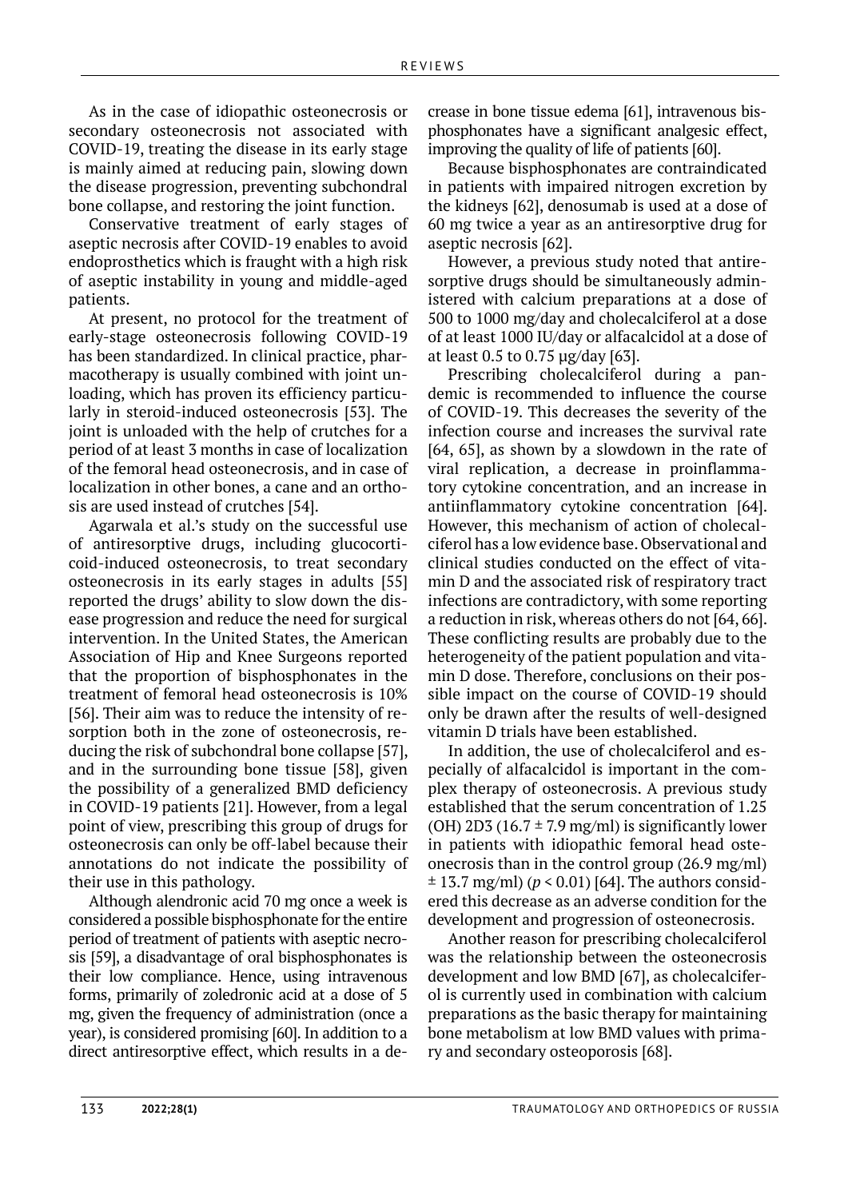As in the case of idiopathic osteonecrosis or secondary osteonecrosis not associated with COVID-19, treating the disease in its early stage is mainly aimed at reducing pain, slowing down the disease progression, preventing subchondral bone collapse, and restoring the joint function.

Conservative treatment of early stages of aseptic necrosis after COVID-19 enables to avoid endoprosthetics which is fraught with a high risk of aseptic instability in young and middle-aged patients.

At present, no protocol for the treatment of early-stage osteonecrosis following COVID-19 has been standardized. In clinical practice, pharmacotherapy is usually combined with joint unloading, which has proven its efficiency particularly in steroid-induced osteonecrosis [53]. The joint is unloaded with the help of crutches for a period of at least 3 months in case of localization of the femoral head osteonecrosis, and in case of localization in other bones, a cane and an orthosis are used instead of crutches [54].

Agarwala et al.'s study on the successful use of antiresorptive drugs, including glucocorticoid-induced osteonecrosis, to treat secondary osteonecrosis in its early stages in adults [55] reported the drugs' ability to slow down the disease progression and reduce the need for surgical intervention. In the United States, the American Association of Hip and Knee Surgeons reported that the proportion of bisphosphonates in the treatment of femoral head osteonecrosis is 10% [56]. Their aim was to reduce the intensity of resorption both in the zone of osteonecrosis, reducing the risk of subchondral bone collapse [57], and in the surrounding bone tissue [58], given the possibility of a generalized BMD deficiency in COVID-19 patients [21]. However, from a legal point of view, prescribing this group of drugs for osteonecrosis can only be off-label because their annotations do not indicate the possibility of their use in this pathology.

Although alendronic acid 70 mg once a week is considered a possible bisphosphonate for the entire period of treatment of patients with aseptic necrosis [59], a disadvantage of oral bisphosphonates is their low compliance. Hence, using intravenous forms, primarily of zoledronic acid at a dose of 5 mg, given the frequency of administration (once a year), is considered promising [60]. In addition to a direct antiresorptive effect, which results in a de-

crease in bone tissue edema [61], intravenous bisphosphonates have a significant analgesic effect, improving the quality of life of patients [60].

Because bisphosphonates are contraindicated in patients with impaired nitrogen excretion by the kidneys [62], denosumab is used at a dose of 60 mg twice a year as an antiresorptive drug for aseptic necrosis [62].

However, a previous study noted that antiresorptive drugs should be simultaneously administered with calcium preparations at a dose of 500 to 1000 mg/day and cholecalciferol at a dose of at least 1000 IU/day or alfacalcidol at a dose of at least 0.5 to 0.75 µg/day [63].

Prescribing cholecalciferol during a pandemic is recommended to influence the course of COVID-19. This decreases the severity of the infection course and increases the survival rate [64, 65], as shown by a slowdown in the rate of viral replication, a decrease in proinflammatory cytokine concentration, and an increase in antiinflammatory cytokine concentration [64]. However, this mechanism of action of cholecalciferol has a low evidence base. Observational and clinical studies conducted on the effect of vitamin D and the associated risk of respiratory tract infections are contradictory, with some reporting a reduction in risk, whereas others do not [64, 66]. These conflicting results are probably due to the heterogeneity of the patient population and vitamin D dose. Therefore, conclusions on their possible impact on the course of COVID-19 should only be drawn after the results of well-designed vitamin D trials have been established.

In addition, the use of cholecalciferol and especially of alfacalcidol is important in the complex therapy of osteonecrosis. A previous study established that the serum concentration of 1.25 (OH) 2D3 (16.7  $\pm$  7.9 mg/ml) is significantly lower in patients with idiopathic femoral head osteonecrosis than in the control group (26.9 mg/ml)  $\pm$  13.7 mg/ml) ( $p$  < 0.01) [64]. The authors considered this decrease as an adverse condition for the development and progression of osteonecrosis.

Another reason for prescribing cholecalciferol was the relationship between the osteonecrosis development and low BMD [67], as cholecalciferol is currently used in combination with calcium preparations as the basic therapy for maintaining bone metabolism at low BMD values with primary and secondary osteoporosis [68].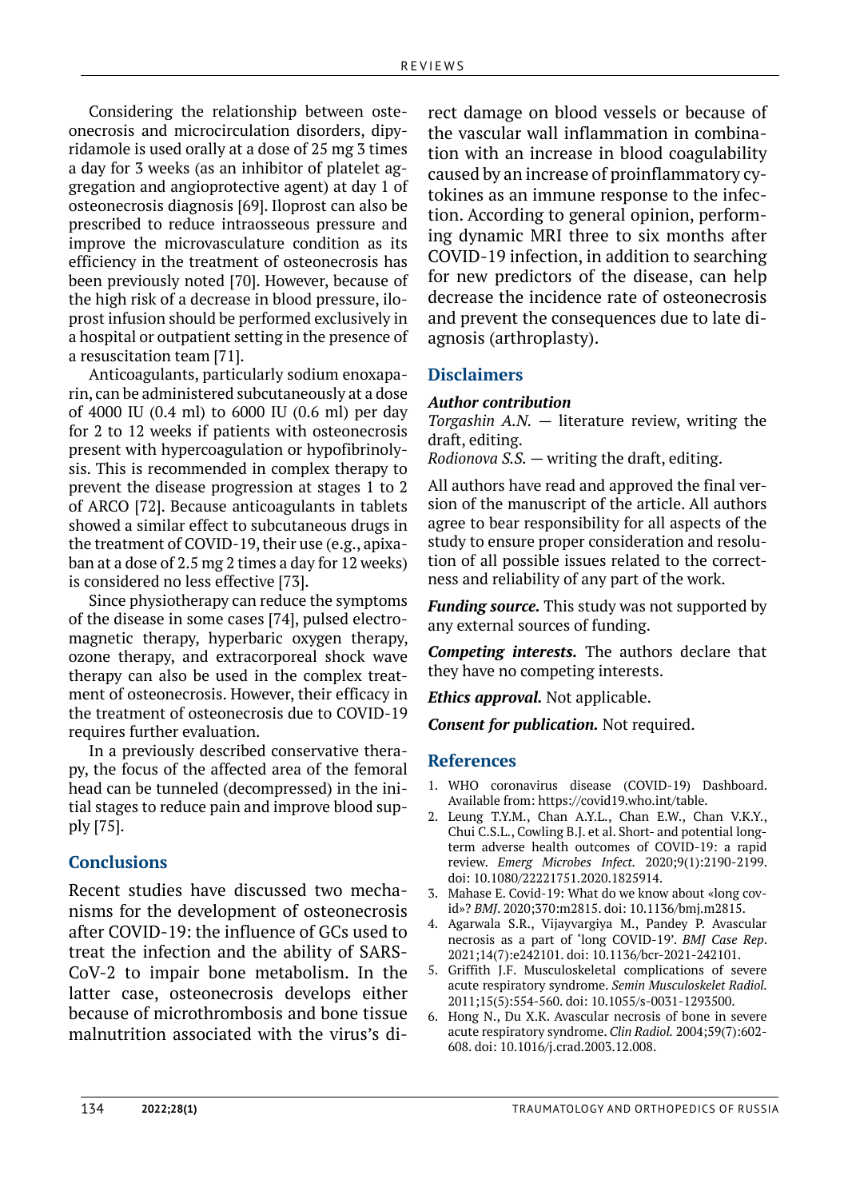Considering the relationship between osteonecrosis and microcirculation disorders, dipyridamole is used orally at a dose of 25 mg 3 times a day for 3 weeks (as an inhibitor of platelet aggregation and angioprotective agent) at day 1 of osteonecrosis diagnosis [69]. Iloprost can also be prescribed to reduce intraosseous pressure and improve the microvasculature condition as its efficiency in the treatment of osteonecrosis has been previously noted [70]. However, because of the high risk of a decrease in blood pressure, iloprost infusion should be performed exclusively in a hospital or outpatient setting in the presence of a resuscitation team [71].

Anticoagulants, particularly sodium enoxaparin, can be administered subcutaneously at a dose of 4000 IU (0.4 ml) to 6000 IU (0.6 ml) per day for 2 to 12 weeks if patients with osteonecrosis present with hypercoagulation or hypofibrinolysis. This is recommended in complex therapy to prevent the disease progression at stages 1 to 2 of ARCO [72]. Because anticoagulants in tablets showed a similar effect to subcutaneous drugs in the treatment of COVID-19, their use (e.g., apixaban at a dose of 2.5 mg 2 times a day for 12 weeks) is considered no less effective [73].

Since physiotherapy can reduce the symptoms of the disease in some cases [74], pulsed electromagnetic therapy, hyperbaric oxygen therapy, ozone therapy, and extracorporeal shock wave therapy can also be used in the complex treatment of osteonecrosis. However, their efficacy in the treatment of osteonecrosis due to COVID-19 requires further evaluation.

In a previously described conservative therapy, the focus of the affected area of the femoral head can be tunneled (decompressed) in the initial stages to reduce pain and improve blood supply [75].

#### **Conclusions**

Recent studies have discussed two mechanisms for the development of osteonecrosis after COVID-19: the influence of GCs used to treat the infection and the ability of SARS-CoV-2 to impair bone metabolism. In the latter case, osteonecrosis develops either because of microthrombosis and bone tissue malnutrition associated with the virus's direct damage on blood vessels or because of the vascular wall inflammation in combination with an increase in blood coagulability caused by an increase of proinflammatory cytokines as an immune response to the infection. According to general opinion, performing dynamic MRI three to six months after COVID-19 infection, in addition to searching for new predictors of the disease, can help decrease the incidence rate of osteonecrosis and prevent the consequences due to late diagnosis (arthroplasty).

#### **Disclaimers**

#### *Author contribution*

*Torgashin A.N.*  $-$  literature review, writing the draft, editing.

*Rodionova S.S.* — writing the draft, editing.

All authors have read and approved the final version of the manuscript of the article. All authors agree to bear responsibility for all aspects of the study to ensure proper consideration and resolution of all possible issues related to the correctness and reliability of any part of the work.

*Funding source.* This study was not supported by any external sources of funding.

*Competing interests.* The authors declare that they have no competing interests.

*Ethics approval.* Not applicable.

*Consent for publication.* Not required.

#### **References**

- 1. WHO coronavirus disease (COVID-19) Dashboard. Available from: https://covid19.who.int/table.
- 2. Leung T.Y.M., Chan A.Y.L., Chan E.W., Chan V.K.Y., Chui C.S.L., Cowling B.J. et al. Short- and potential longterm adverse health outcomes of COVID-19: a rapid review. *Emerg Microbes Infect.* 2020;9(1):2190-2199. doi: 10.1080/22221751.2020.1825914.
- 3. Mahase E. Covid-19: What do we know about «long covid»? *BMJ*. 2020;370:m2815. doi: 10.1136/bmj.m2815.
- 4. Agarwala S.R., Vijayvargiya M., Pandey P. Avascular necrosis as a part of 'long COVID-19'. *BMJ Case Rep*. 2021;14(7):e242101. doi: 10.1136/bcr-2021-242101.
- 5. Griffith J.F. Musculoskeletal complications of severe acute respiratory syndrome. *Semin Musculoskelet Radiol.*  2011;15(5):554-560. doi: 10.1055/s-0031-1293500.
- 6. Hong N., Du X.K. Avascular necrosis of bone in severe acute respiratory syndrome. *Clin Radiol.* 2004;59(7):602- 608. doi: 10.1016/j.crad.2003.12.008.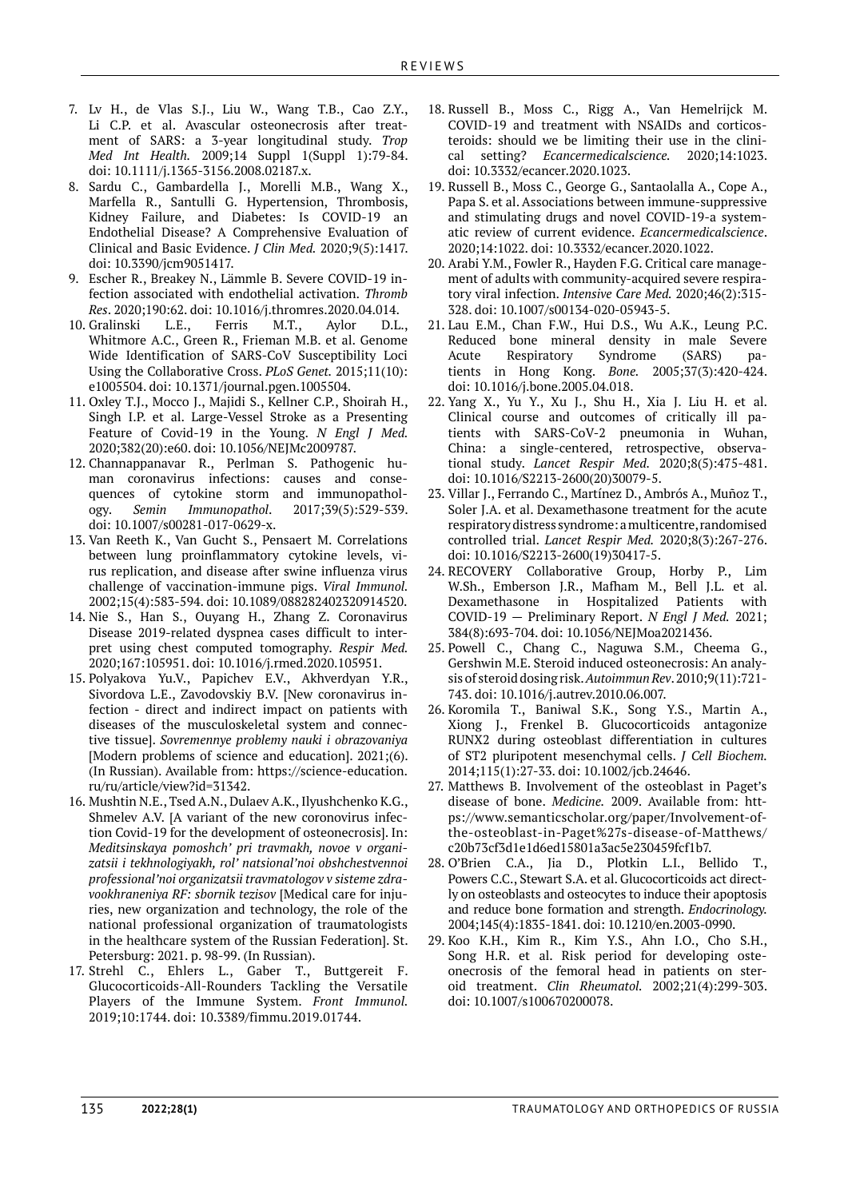- 7. Lv H., de Vlas S.J., Liu W., Wang T.B., Cao Z.Y., Li C.P. et al. Avascular osteonecrosis after treatment of SARS: a 3-year longitudinal study. *Trop Med Int Health.* 2009;14 Suppl 1(Suppl 1):79-84. doi: 10.1111/j.1365-3156.2008.02187.x.
- 8. Sardu C., Gambardella J., Morelli M.B., Wang X., Marfella R., Santulli G. Hypertension, Thrombosis, Kidney Failure, and Diabetes: Is COVID-19 an Endothelial Disease? A Comprehensive Evaluation of Clinical and Basic Evidence. *J Clin Med.* 2020;9(5):1417. doi: 10.3390/jcm9051417.
- 9. Escher R., Breakey N., Lämmle B. Severe COVID-19 infection associated with endothelial activation. *Thromb Res*. 2020;190:62. doi: 10.1016/j.thromres.2020.04.014.
- 10. Gralinski L.E., Ferris M.T., Aylor D.L., Whitmore A.C., Green R., Frieman M.B. et al. Genome Wide Identification of SARS-CoV Susceptibility Loci Using the Collaborative Cross. *PLoS Genet.* 2015;11(10): e1005504. doi: 10.1371/journal.pgen.1005504.
- 11. Oxley T.J., Mocco J., Majidi S., Kellner C.P., Shoirah H., Singh I.P. et al. Large-Vessel Stroke as a Presenting Feature of Covid-19 in the Young. *N Engl J Med.*  2020;382(20):e60. doi: 10.1056/NEJMc2009787.
- 12. Channappanavar R., Perlman S. Pathogenic human coronavirus infections: causes and consequences of cytokine storm and immunopathology. *Semin Immunopathol*. 2017;39(5):529-539. doi: 10.1007/s00281-017-0629-x.
- 13. Van Reeth K., Van Gucht S., Pensaert M. Correlations between lung proinflammatory cytokine levels, virus replication, and disease after swine influenza virus challenge of vaccination-immune pigs. *Viral Immunol.*  2002;15(4):583-594. doi: 10.1089/088282402320914520.
- 14. Nie S., Han S., Ouyang H., Zhang Z. Coronavirus Disease 2019-related dyspnea cases difficult to interpret using chest computed tomography. *Respir Med.*  2020;167:105951. doi: 10.1016/j.rmed.2020.105951.
- 15. Polyakova Yu.V., Papichev E.V., Akhverdyan Y.R., Sivordova L.E., Zavodovskiy B.V. [New coronavirus infection - direct and indirect impact on patients with diseases of the musculoskeletal system and connective tissue]. *Sovremennye problemy nauki i obrazovaniya*  [Modern problems of science and education]. 2021;(6). (In Russian). Available from: https://science-education. ru/ru/article/view?id=31342.
- 16. Mushtin N.E., Tsed A.N., Dulaev A.K., Ilyushchenko K.G., Shmelev A.V. [A variant of the new coronovirus infection Covid-19 for the development of osteonecrosis]. In: *Meditsinskaya pomoshch' pri travmakh, novoe v organizatsii i tekhnologiyakh, rol' natsional'noi obshchestvennoi professional'noi organizatsii travmatologov v sisteme zdravookhraneniya RF: sbornik tezisov* [Medical care for injuries, new organization and technology, the role of the national professional organization of traumatologists in the healthcare system of the Russian Federation]. St. Petersburg: 2021. p. 98-99. (In Russian).
- 17. Strehl C., Ehlers L., Gaber T., Buttgereit F. Glucocorticoids-All-Rounders Tackling the Versatile Players of the Immune System. *Front Immunol.*  2019;10:1744. doi: 10.3389/fimmu.2019.01744.
- 18. Russell B., Moss C., Rigg A., Van Hemelrijck M. COVID-19 and treatment with NSAIDs and corticosteroids: should we be limiting their use in the clinical setting? *Ecancermedicalscience.* 2020;14:1023. doi: 10.3332/ecancer.2020.1023.
- 19. Russell B., Moss C., George G., Santaolalla A., Cope A., Papa S. et al. Associations between immune-suppressive and stimulating drugs and novel COVID-19-a systematic review of current evidence. *Ecancermedicalscience*. 2020;14:1022. doi: 10.3332/ecancer.2020.1022.
- 20. Arabi Y.M., Fowler R., Hayden F.G. Critical care management of adults with community-acquired severe respiratory viral infection. *Intensive Care Med.* 2020;46(2):315- 328. doi: 10.1007/s00134-020-05943-5.
- 21. Lau E.M., Chan F.W., Hui D.S., Wu A.K., Leung P.C. Reduced bone mineral density in male Severe Acute Respiratory Syndrome (SARS) patients in Hong Kong. *Bone.* 2005;37(3):420-424. doi: 10.1016/j.bone.2005.04.018.
- 22. Yang X., Yu Y., Xu J., Shu H., Xia J. Liu H. et al. Clinical course and outcomes of critically ill patients with SARS-CoV-2 pneumonia in Wuhan, China: a single-centered, retrospective, observational study. *Lancet Respir Med.* 2020;8(5):475-481. doi: 10.1016/S2213-2600(20)30079-5.
- 23. Villar J., Ferrando C., Martínez D., Ambrós A., Muñoz T., Soler J.A. et al. Dexamethasone treatment for the acute respiratory distress syndrome: a multicentre, randomised controlled trial. *Lancet Respir Med.* 2020;8(3):267-276. doi: 10.1016/S2213-2600(19)30417-5.
- 24. RECOVERY Collaborative Group, Horby P., Lim W.Sh., Emberson J.R., Mafham M., Bell J.L. et al. Dexamethasone in Hospitalized Patients with COVID-19 — Preliminary Report. *N Engl J Med.* 2021; 384(8):693-704. doi: 10.1056/NEJMoa2021436.
- 25. Powell C., Chang C., Naguwa S.M., Cheema G., Gershwin M.E. Steroid induced osteonecrosis: An analysis of steroid dosing risk. *Autoimmun Rev*. 2010;9(11):721- 743. doi: 10.1016/j.autrev.2010.06.007.
- 26. Koromila T., Baniwal S.K., Song Y.S., Martin A., Xiong J., Frenkel B. Glucocorticoids antagonize RUNX2 during osteoblast differentiation in cultures of ST2 pluripotent mesenchymal cells. *J Cell Biochem.*  2014;115(1):27-33. doi: 10.1002/jcb.24646.
- 27. Matthews B. Involvement of the osteoblast in Paget's disease of bone. *Medicine.* 2009. Available from: https://www.semanticscholar.org/paper/Involvement-ofthe-osteoblast-in-Paget%27s-disease-of-Matthews/ c20b73cf3d1e1d6ed15801a3ac5e230459fcf1b7.
- 28. O'Brien C.A., Jia D., Plotkin L.I., Bellido T., Powers C.C., Stewart S.A. et al. Glucocorticoids act directly on osteoblasts and osteocytes to induce their apoptosis and reduce bone formation and strength. *Endocrinology.*  2004;145(4):1835-1841. doi: 10.1210/en.2003-0990.
- 29. Koo K.H., Kim R., Kim Y.S., Ahn I.O., Cho S.H., Song H.R. et al. Risk period for developing osteonecrosis of the femoral head in patients on steroid treatment. *Clin Rheumatol.* 2002;21(4):299-303. doi: 10.1007/s100670200078.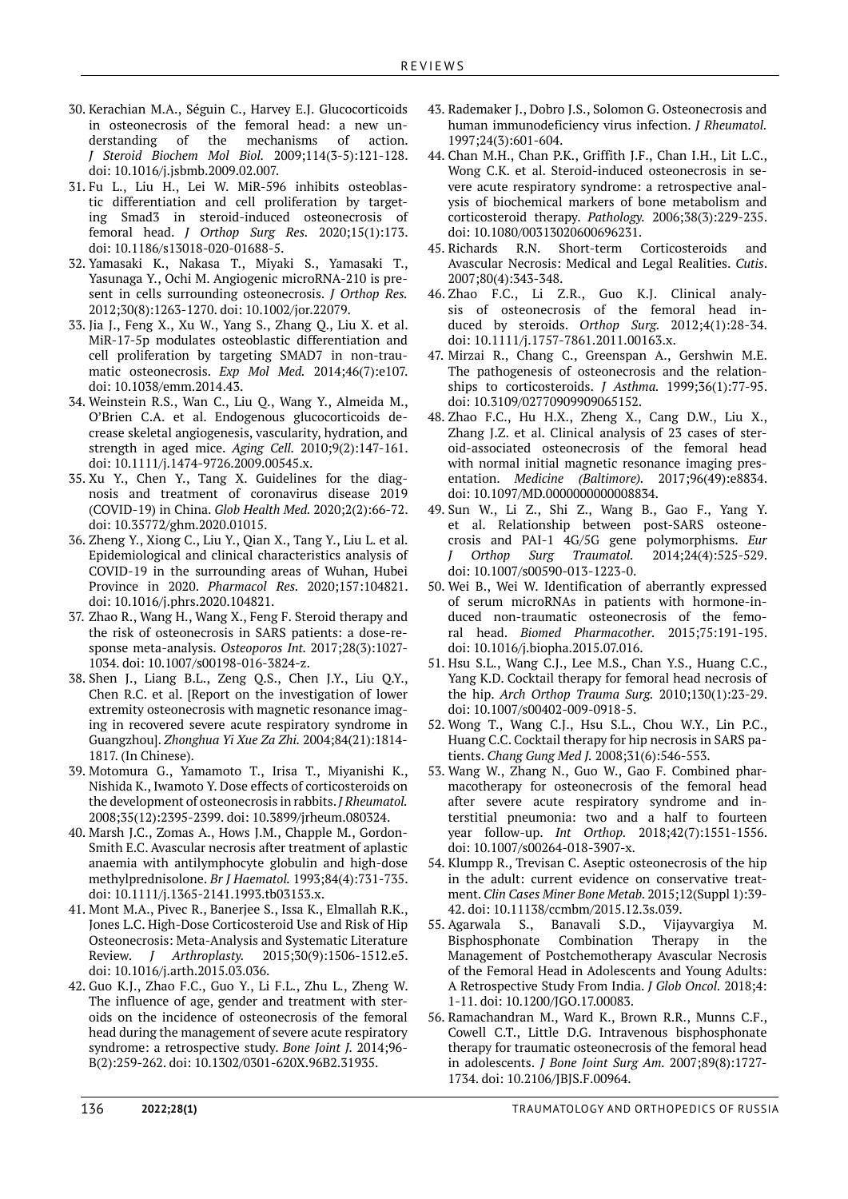- 30. Kerachian M.A., Séguin C., Harvey E.J. Glucocorticoids in osteonecrosis of the femoral head: a new understanding of the mechanisms of action. *J Steroid Biochem Mol Biol.* 2009;114(3-5):121-128. doi: 10.1016/j.jsbmb.2009.02.007.
- 31. Fu L., Liu H., Lei W. MiR-596 inhibits osteoblastic differentiation and cell proliferation by targeting Smad3 in steroid-induced osteonecrosis of femoral head. *J Orthop Surg Res.* 2020;15(1):173. doi: 10.1186/s13018-020-01688-5.
- 32. Yamasaki K., Nakasa T., Miyaki S., Yamasaki T., Yasunaga Y., Ochi M. Angiogenic microRNA-210 is present in cells surrounding osteonecrosis. *J Orthop Res.* 2012;30(8):1263-1270. doi: 10.1002/jor.22079.
- 33. Jia J., Feng X., Xu W., Yang S., Zhang Q., Liu X. et al. MiR-17-5p modulates osteoblastic differentiation and cell proliferation by targeting SMAD7 in non-traumatic osteonecrosis. *Exp Mol Med.* 2014;46(7):e107. doi: 10.1038/emm.2014.43.
- 34. Weinstein R.S., Wan C., Liu Q., Wang Y., Almeida M., O'Brien C.A. et al. Endogenous glucocorticoids decrease skeletal angiogenesis, vascularity, hydration, and strength in aged mice. *Aging Cell.* 2010;9(2):147-161. doi: 10.1111/j.1474-9726.2009.00545.x.
- 35. Xu Y., Chen Y., Tang X. Guidelines for the diagnosis and treatment of coronavirus disease 2019 (COVID-19) in China. *Glob Health Med.* 2020;2(2):66-72. doi: 10.35772/ghm.2020.01015.
- 36. Zheng Y., Xiong C., Liu Y., Qian X., Tang Y., Liu L. et al. Epidemiological and clinical characteristics analysis of COVID-19 in the surrounding areas of Wuhan, Hubei Province in 2020. *Pharmacol Res.* 2020;157:104821. doi: 10.1016/j.phrs.2020.104821.
- 37. Zhao R., Wang H., Wang X., Feng F. Steroid therapy and the risk of osteonecrosis in SARS patients: a dose-response meta-analysis. *Osteoporos Int.* 2017;28(3):1027- 1034. doi: 10.1007/s00198-016-3824-z.
- 38. Shen J., Liang B.L., Zeng Q.S., Chen J.Y., Liu Q.Y., Chen R.C. et al. [Report on the investigation of lower extremity osteonecrosis with magnetic resonance imaging in recovered severe acute respiratory syndrome in Guangzhou]. *Zhonghua Yi Xue Za Zhi.* 2004;84(21):1814- 1817. (In Chinese).
- 39. Motomura G., Yamamoto T., Irisa T., Miyanishi K., Nishida K., Iwamoto Y. Dose effects of corticosteroids on the development of osteonecrosis in rabbits. *J Rheumatol.* 2008;35(12):2395-2399. doi: 10.3899/jrheum.080324.
- 40. Marsh J.C., Zomas A., Hows J.M., Chapple M., Gordon-Smith E.C. Avascular necrosis after treatment of aplastic anaemia with antilymphocyte globulin and high-dose methylprednisolone. *Br J Haematol.* 1993;84(4):731-735. doi: 10.1111/j.1365-2141.1993.tb03153.x.
- 41. Mont M.A., Pivec R., Banerjee S., Issa K., Elmallah R.K., Jones L.C. High-Dose Corticosteroid Use and Risk of Hip Osteonecrosis: Meta-Analysis and Systematic Literature Review. *J Arthroplasty.* 2015;30(9):1506-1512.e5. doi: 10.1016/j.arth.2015.03.036.
- 42. Guo K.J., Zhao F.C., Guo Y., Li F.L., Zhu L., Zheng W. The influence of age, gender and treatment with steroids on the incidence of osteonecrosis of the femoral head during the management of severe acute respiratory syndrome: a retrospective study. *Bone Joint J.* 2014;96- B(2):259-262. doi: 10.1302/0301-620X.96B2.31935.
- 43. Rademaker J., Dobro J.S., Solomon G. Osteonecrosis and human immunodeficiency virus infection. *J Rheumatol.* 1997;24(3):601-604.
- 44. Chan M.H., Chan P.K., Griffith J.F., Chan I.H., Lit L.C., Wong C.K. et al. Steroid-induced osteonecrosis in severe acute respiratory syndrome: a retrospective analysis of biochemical markers of bone metabolism and corticosteroid therapy. *Pathology.* 2006;38(3):229-235. doi: 10.1080/00313020600696231.<br>45. Richards R.N. Short-term (
- R.N. Short-term Corticosteroids and Avascular Necrosis: Medical and Legal Realities. *Cutis*. 2007;80(4):343-348.
- 46. Zhao F.C., Li Z.R., Guo K.J. Clinical analysis of osteonecrosis of the femoral head induced by steroids. *Orthop Surg.* 2012;4(1):28-34. doi: 10.1111/j.1757-7861.2011.00163.x.
- 47. Mirzai R., Chang C., Greenspan A., Gershwin M.E. The pathogenesis of osteonecrosis and the relationships to corticosteroids. *J Asthma.* 1999;36(1):77-95. doi: 10.3109/02770909909065152.
- 48. Zhao F.C., Hu H.X., Zheng X., Cang D.W., Liu X., Zhang J.Z. et al. Clinical analysis of 23 cases of steroid-associated osteonecrosis of the femoral head with normal initial magnetic resonance imaging presentation. *Medicine (Baltimore).* 2017;96(49):e8834. doi: 10.1097/MD.0000000000008834.
- 49. Sun W., Li Z., Shi Z., Wang B., Gao F., Yang Y. et al. Relationship between post-SARS osteonecrosis and PAI-1 4G/5G gene polymorphisms. *Eur J Orthop Surg Traumatol.* 2014;24(4):525-529. doi: 10.1007/s00590-013-1223-0.
- 50. Wei B., Wei W. Identification of aberrantly expressed of serum microRNAs in patients with hormone-induced non-traumatic osteonecrosis of the femoral head. *Biomed Pharmacother.* 2015;75:191-195. doi: 10.1016/j.biopha.2015.07.016.
- 51. Hsu S.L., Wang C.J., Lee M.S., Chan Y.S., Huang C.C., Yang K.D. Cocktail therapy for femoral head necrosis of the hip. *Arch Orthop Trauma Surg.* 2010;130(1):23-29. doi: 10.1007/s00402-009-0918-5.
- 52. Wong T., Wang C.J., Hsu S.L., Chou W.Y., Lin P.C., Huang C.C. Cocktail therapy for hip necrosis in SARS patients. *Chang Gung Med J.* 2008;31(6):546-553.
- 53. Wang W., Zhang N., Guo W., Gao F. Combined pharmacotherapy for osteonecrosis of the femoral head after severe acute respiratory syndrome and interstitial pneumonia: two and a half to fourteen year follow-up. *Int Orthop.* 2018;42(7):1551-1556. doi: 10.1007/s00264-018-3907-x.
- 54. Klumpp R., Trevisan C. Aseptic osteonecrosis of the hip in the adult: current evidence on conservative treatment. *Clin Cases Miner Bone Metab.* 2015;12(Suppl 1):39- 42. doi: 10.11138/ccmbm/2015.12.3s.039.
- 55. Agarwala S., Banavali S.D., Vijayvargiya M. Bisphosphonate Combination Therapy in the Management of Postchemotherapy Avascular Necrosis of the Femoral Head in Adolescents and Young Adults: A Retrospective Study From India. *J Glob Oncol.* 2018;4: 1-11. doi: 10.1200/JGO.17.00083.
- 56. Ramachandran M., Ward K., Brown R.R., Munns C.F., Cowell C.T., Little D.G. Intravenous bisphosphonate therapy for traumatic osteonecrosis of the femoral head in adolescents. *J Bone Joint Surg Am.* 2007;89(8):1727- 1734. doi: 10.2106/JBJS.F.00964.